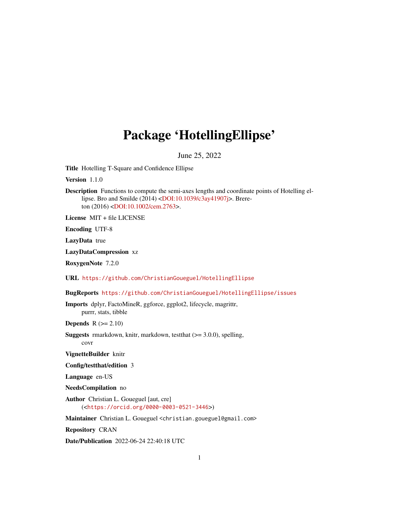## Package 'HotellingEllipse'

June 25, 2022

Title Hotelling T-Square and Confidence Ellipse

Version 1.1.0

Description Functions to compute the semi-axes lengths and coordinate points of Hotelling ellipse. Bro and Smilde (2014) [<DOI:10.1039/c3ay41907j>](https://doi.org/10.1039/c3ay41907j). Brereton (2016) [<DOI:10.1002/cem.2763>](https://doi.org/10.1002/cem.2763).

License MIT + file LICENSE

Encoding UTF-8

LazyData true

LazyDataCompression xz

RoxygenNote 7.2.0

URL <https://github.com/ChristianGoueguel/HotellingEllipse>

BugReports <https://github.com/ChristianGoueguel/HotellingEllipse/issues>

Imports dplyr, FactoMineR, ggforce, ggplot2, lifecycle, magrittr, purrr, stats, tibble

**Depends**  $R$  ( $>= 2.10$ )

Suggests rmarkdown, knitr, markdown, testthat (>= 3.0.0), spelling, covr

VignetteBuilder knitr

Config/testthat/edition 3

Language en-US

NeedsCompilation no

Author Christian L. Goueguel [aut, cre] (<<https://orcid.org/0000-0003-0521-3446>>)

Maintainer Christian L. Goueguel <christian.goueguel@gmail.com>

Repository CRAN

Date/Publication 2022-06-24 22:40:18 UTC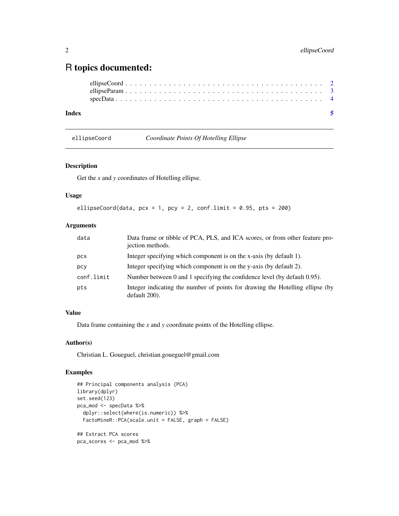### <span id="page-1-0"></span>R topics documented:

| Index |  |  |  |  |  |  |  |  |  |  |  |  |  |  |  |  |  |  |  |
|-------|--|--|--|--|--|--|--|--|--|--|--|--|--|--|--|--|--|--|--|
|       |  |  |  |  |  |  |  |  |  |  |  |  |  |  |  |  |  |  |  |
|       |  |  |  |  |  |  |  |  |  |  |  |  |  |  |  |  |  |  |  |
|       |  |  |  |  |  |  |  |  |  |  |  |  |  |  |  |  |  |  |  |

ellipseCoord *Coordinate Points Of Hotelling Ellipse*

#### Description

Get the *x* and *y* coordinates of Hotelling ellipse.

#### Usage

```
ellipseCoord(data, pcx = 1, pcy = 2, conf.limit = 0.95, pts = 200)
```
#### Arguments

| data       | Data frame or tibble of PCA, PLS, and ICA scores, or from other feature pro-<br>jection methods. |
|------------|--------------------------------------------------------------------------------------------------|
| pcx        | Integer specifying which component is on the x-axis (by default 1).                              |
| pcy        | Integer specifying which component is on the y-axis (by default 2).                              |
| conf.limit | Number between 0 and 1 specifying the confidence level (by default 0.95).                        |
| pts        | Integer indicating the number of points for drawing the Hotelling ellipse (by<br>default 200).   |

#### Value

Data frame containing the *x* and *y* coordinate points of the Hotelling ellipse.

#### Author(s)

Christian L. Goueguel, christian.goueguel@gmail.com

#### Examples

```
## Principal components analysis (PCA)
library(dplyr)
set.seed(123)
pca_mod <- specData %>%
  dplyr::select(where(is.numeric)) %>%
  FactoMineR::PCA(scale.unit = FALSE, graph = FALSE)
## Extract PCA scores
pca_scores <- pca_mod %>%
```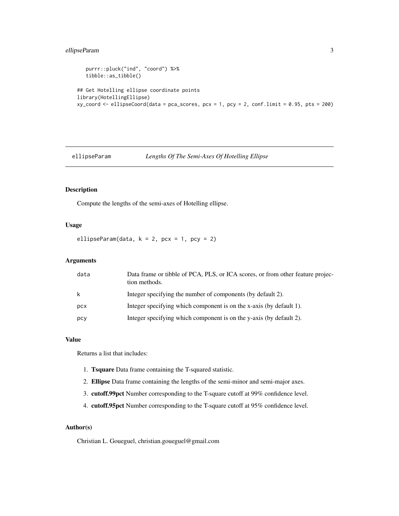#### <span id="page-2-0"></span>ellipseParam 3

```
purrr::pluck("ind", "coord") %>%
  tibble::as_tibble()
## Get Hotelling ellipse coordinate points
library(HotellingEllipse)
xy\_{coord} <- ellipseCoord(data = pca_scores, pcx = 1, pcy = 2, conf.limit = 0.95, pts = 200)
```
#### ellipseParam *Lengths Of The Semi-Axes Of Hotelling Ellipse*

#### Description

Compute the lengths of the semi-axes of Hotelling ellipse.

#### Usage

ellipseParam(data,  $k = 2$ ,  $pcx = 1$ ,  $pcy = 2$ )

#### Arguments

| data | Data frame or tibble of PCA, PLS, or ICA scores, or from other feature projec-<br>tion methods. |
|------|-------------------------------------------------------------------------------------------------|
| k    | Integer specifying the number of components (by default 2).                                     |
| pcx  | Integer specifying which component is on the x-axis (by default 1).                             |
| pcy  | Integer specifying which component is on the y-axis (by default 2).                             |

#### Value

Returns a list that includes:

- 1. Tsquare Data frame containing the T-squared statistic.
- 2. Ellipse Data frame containing the lengths of the semi-minor and semi-major axes.
- 3. cutoff.99pct Number corresponding to the T-square cutoff at 99% confidence level.
- 4. cutoff.95pct Number corresponding to the T-square cutoff at 95% confidence level.

#### Author(s)

Christian L. Goueguel, christian.goueguel@gmail.com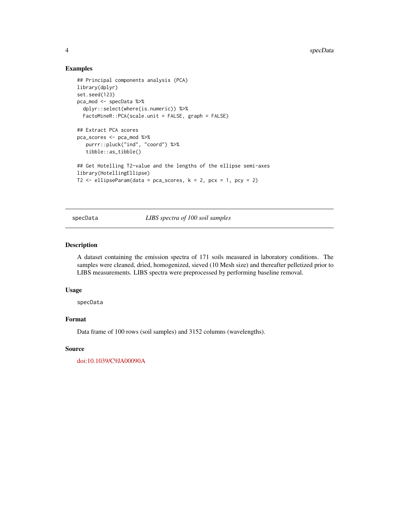#### Examples

```
## Principal components analysis (PCA)
library(dplyr)
set.seed(123)
pca_mod <- specData %>%
  dplyr::select(where(is.numeric)) %>%
  FactoMineR::PCA(scale.unit = FALSE, graph = FALSE)
## Extract PCA scores
pca_scores <- pca_mod %>%
   purrr::pluck("ind", "coord") %>%
   tibble::as_tibble()
## Get Hotelling T2-value and the lengths of the ellipse semi-axes
library(HotellingEllipse)
T2 \le ellipseParam(data = pca_scores, k = 2, pcx = 1, pcy = 2)
```
specData *LIBS spectra of 100 soil samples*

#### Description

A dataset containing the emission spectra of 171 soils measured in laboratory conditions. The samples were cleaned, dried, homogenized, sieved (10 Mesh size) and thereafter pelletized prior to LIBS measurements. LIBS spectra were preprocessed by performing baseline removal.

#### Usage

specData

#### Format

Data frame of 100 rows (soil samples) and 3152 columns (wavelengths).

#### Source

[doi:10.1039/C9JA00090A](https://doi.org/10.1039/C9JA00090A)

<span id="page-3-0"></span>